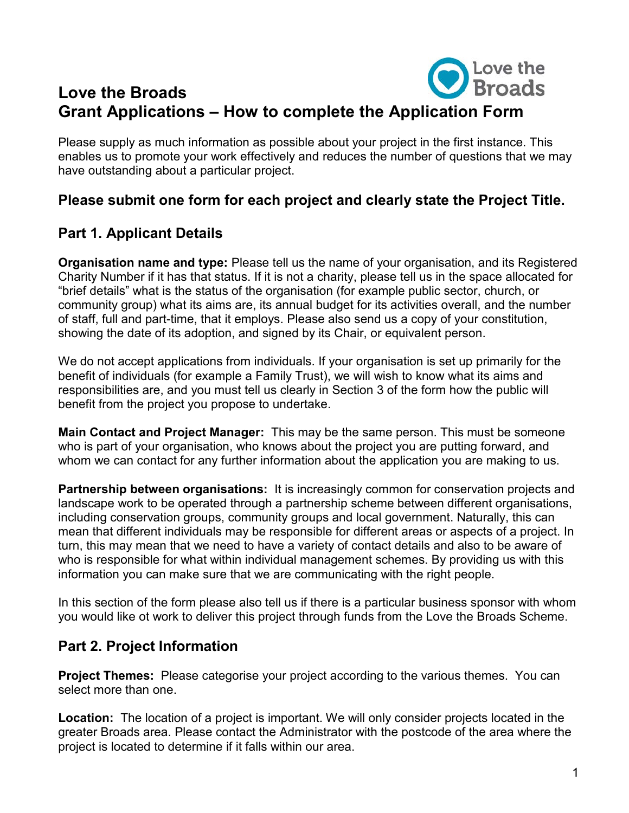# **D** Love the **Love the Broads Grant Applications – How to complete the Application Form**

Please supply as much information as possible about your project in the first instance. This enables us to promote your work effectively and reduces the number of questions that we may have outstanding about a particular project.

### **Please submit one form for each project and clearly state the Project Title.**

## **Part 1. Applicant Details**

**Organisation name and type:** Please tell us the name of your organisation, and its Registered Charity Number if it has that status. If it is not a charity, please tell us in the space allocated for "brief details" what is the status of the organisation (for example public sector, church, or community group) what its aims are, its annual budget for its activities overall, and the number of staff, full and part-time, that it employs. Please also send us a copy of your constitution, showing the date of its adoption, and signed by its Chair, or equivalent person.

We do not accept applications from individuals. If your organisation is set up primarily for the benefit of individuals (for example a Family Trust), we will wish to know what its aims and responsibilities are, and you must tell us clearly in Section 3 of the form how the public will benefit from the project you propose to undertake.

**Main Contact and Project Manager:** This may be the same person. This must be someone who is part of your organisation, who knows about the project you are putting forward, and whom we can contact for any further information about the application you are making to us.

**Partnership between organisations:** It is increasingly common for conservation projects and landscape work to be operated through a partnership scheme between different organisations, including conservation groups, community groups and local government. Naturally, this can mean that different individuals may be responsible for different areas or aspects of a project. In turn, this may mean that we need to have a variety of contact details and also to be aware of who is responsible for what within individual management schemes. By providing us with this information you can make sure that we are communicating with the right people.

In this section of the form please also tell us if there is a particular business sponsor with whom you would like ot work to deliver this project through funds from the Love the Broads Scheme.

## **Part 2. Project Information**

**Project Themes:** Please categorise your project according to the various themes. You can select more than one.

**Location:** The location of a project is important. We will only consider projects located in the greater Broads area. Please contact the Administrator with the postcode of the area where the project is located to determine if it falls within our area.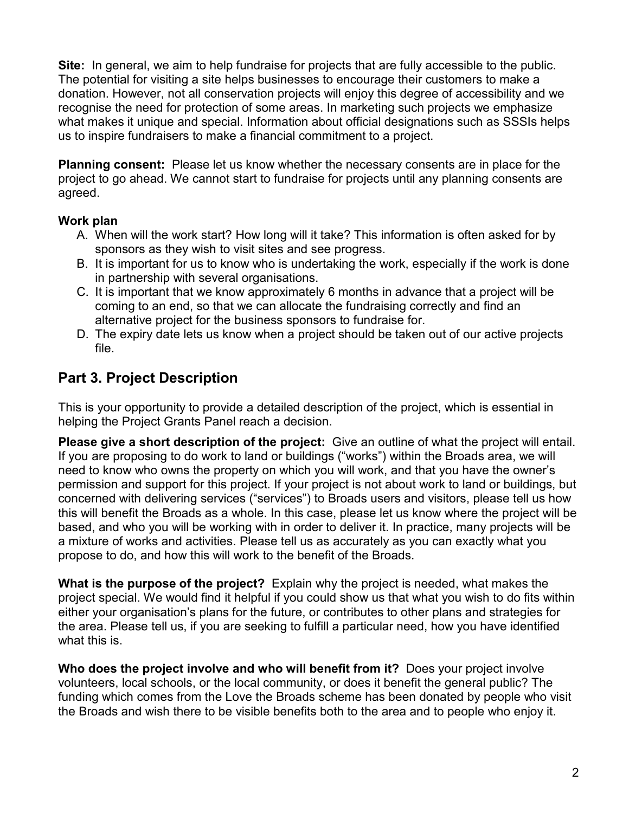**Site:** In general, we aim to help fundraise for projects that are fully accessible to the public. The potential for visiting a site helps businesses to encourage their customers to make a donation. However, not all conservation projects will enjoy this degree of accessibility and we recognise the need for protection of some areas. In marketing such projects we emphasize what makes it unique and special. Information about official designations such as SSSIs helps us to inspire fundraisers to make a financial commitment to a project.

**Planning consent:** Please let us know whether the necessary consents are in place for the project to go ahead. We cannot start to fundraise for projects until any planning consents are agreed.

#### **Work plan**

- A. When will the work start? How long will it take? This information is often asked for by sponsors as they wish to visit sites and see progress.
- B. It is important for us to know who is undertaking the work, especially if the work is done in partnership with several organisations.
- C. It is important that we know approximately 6 months in advance that a project will be coming to an end, so that we can allocate the fundraising correctly and find an alternative project for the business sponsors to fundraise for.
- D. The expiry date lets us know when a project should be taken out of our active projects file.

### **Part 3. Project Description**

This is your opportunity to provide a detailed description of the project, which is essential in helping the Project Grants Panel reach a decision.

**Please give a short description of the project:** Give an outline of what the project will entail. If you are proposing to do work to land or buildings ("works") within the Broads area, we will need to know who owns the property on which you will work, and that you have the owner's permission and support for this project. If your project is not about work to land or buildings, but concerned with delivering services ("services") to Broads users and visitors, please tell us how this will benefit the Broads as a whole. In this case, please let us know where the project will be based, and who you will be working with in order to deliver it. In practice, many projects will be a mixture of works and activities. Please tell us as accurately as you can exactly what you propose to do, and how this will work to the benefit of the Broads.

**What is the purpose of the project?** Explain why the project is needed, what makes the project special. We would find it helpful if you could show us that what you wish to do fits within either your organisation's plans for the future, or contributes to other plans and strategies for the area. Please tell us, if you are seeking to fulfill a particular need, how you have identified what this is.

**Who does the project involve and who will benefit from it?** Does your project involve volunteers, local schools, or the local community, or does it benefit the general public? The funding which comes from the Love the Broads scheme has been donated by people who visit the Broads and wish there to be visible benefits both to the area and to people who enjoy it.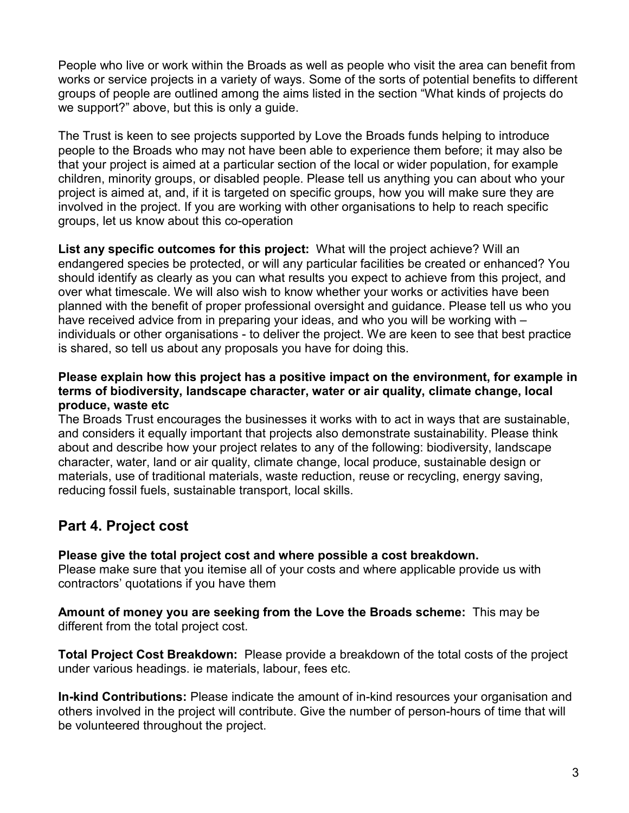People who live or work within the Broads as well as people who visit the area can benefit from works or service projects in a variety of ways. Some of the sorts of potential benefits to different groups of people are outlined among the aims listed in the section "What kinds of projects do we support?" above, but this is only a guide.

The Trust is keen to see projects supported by Love the Broads funds helping to introduce people to the Broads who may not have been able to experience them before; it may also be that your project is aimed at a particular section of the local or wider population, for example children, minority groups, or disabled people. Please tell us anything you can about who your project is aimed at, and, if it is targeted on specific groups, how you will make sure they are involved in the project. If you are working with other organisations to help to reach specific groups, let us know about this co-operation

**List any specific outcomes for this project:** What will the project achieve? Will an endangered species be protected, or will any particular facilities be created or enhanced? You should identify as clearly as you can what results you expect to achieve from this project, and over what timescale. We will also wish to know whether your works or activities have been planned with the benefit of proper professional oversight and guidance. Please tell us who you have received advice from in preparing your ideas, and who you will be working with – individuals or other organisations - to deliver the project. We are keen to see that best practice is shared, so tell us about any proposals you have for doing this.

#### **Please explain how this project has a positive impact on the environment, for example in terms of biodiversity, landscape character, water or air quality, climate change, local produce, waste etc**

The Broads Trust encourages the businesses it works with to act in ways that are sustainable, and considers it equally important that projects also demonstrate sustainability. Please think about and describe how your project relates to any of the following: biodiversity, landscape character, water, land or air quality, climate change, local produce, sustainable design or materials, use of traditional materials, waste reduction, reuse or recycling, energy saving, reducing fossil fuels, sustainable transport, local skills.

### **Part 4. Project cost**

**Please give the total project cost and where possible a cost breakdown.** Please make sure that you itemise all of your costs and where applicable provide us with contractors' quotations if you have them

**Amount of money you are seeking from the Love the Broads scheme:** This may be

different from the total project cost.

**Total Project Cost Breakdown:** Please provide a breakdown of the total costs of the project under various headings. ie materials, labour, fees etc.

**In-kind Contributions:** Please indicate the amount of in-kind resources your organisation and others involved in the project will contribute. Give the number of person-hours of time that will be volunteered throughout the project.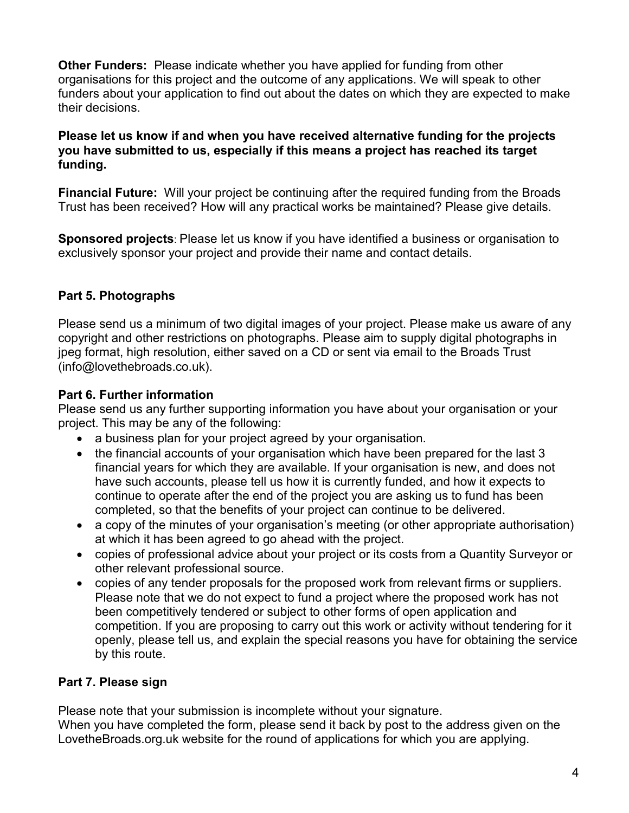**Other Funders:** Please indicate whether you have applied for funding from other organisations for this project and the outcome of any applications. We will speak to other funders about your application to find out about the dates on which they are expected to make their decisions.

#### **Please let us know if and when you have received alternative funding for the projects you have submitted to us, especially if this means a project has reached its target funding.**

**Financial Future:** Will your project be continuing after the required funding from the Broads Trust has been received? How will any practical works be maintained? Please give details.

**Sponsored projects**: Please let us know if you have identified a business or organisation to exclusively sponsor your project and provide their name and contact details.

#### **Part 5. Photographs**

Please send us a minimum of two digital images of your project. Please make us aware of any copyright and other restrictions on photographs. Please aim to supply digital photographs in jpeg format, high resolution, either saved on a CD or sent via email to the Broads Trust (info@lovethebroads.co.uk).

#### **Part 6. Further information**

Please send us any further supporting information you have about your organisation or your project. This may be any of the following:

- a business plan for your project agreed by your organisation.
- the financial accounts of your organisation which have been prepared for the last 3 financial years for which they are available. If your organisation is new, and does not have such accounts, please tell us how it is currently funded, and how it expects to continue to operate after the end of the project you are asking us to fund has been completed, so that the benefits of your project can continue to be delivered.
- a copy of the minutes of your organisation's meeting (or other appropriate authorisation) at which it has been agreed to go ahead with the project.
- copies of professional advice about your project or its costs from a Quantity Surveyor or other relevant professional source.
- copies of any tender proposals for the proposed work from relevant firms or suppliers. Please note that we do not expect to fund a project where the proposed work has not been competitively tendered or subject to other forms of open application and competition. If you are proposing to carry out this work or activity without tendering for it openly, please tell us, and explain the special reasons you have for obtaining the service by this route.

### **Part 7. Please sign**

Please note that your submission is incomplete without your signature. When you have completed the form, please send it back by post to the address given on the LovetheBroads.org.uk website for the round of applications for which you are applying.